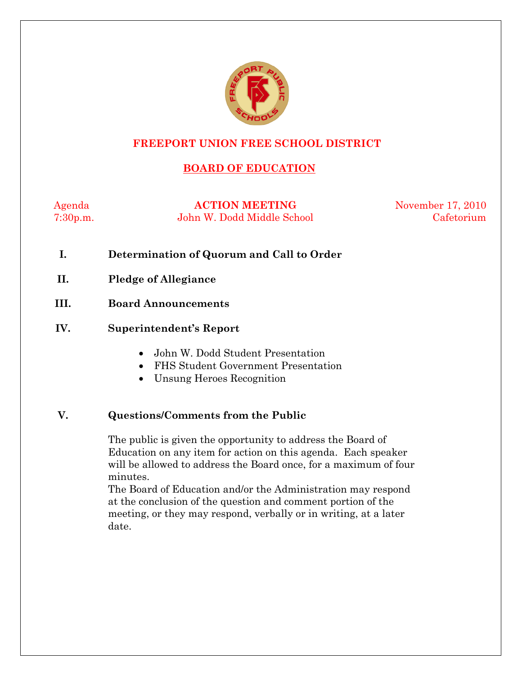

### **FREEPORT UNION FREE SCHOOL DISTRICT**

# **BOARD OF EDUCATION**

Agenda **ACTION MEETING** November 17, 2010 7:30p.m. John W. Dodd Middle School Cafetorium

- **I. Determination of Quorum and Call to Order**
- **II. Pledge of Allegiance**
- **III. Board Announcements**

#### **IV. Superintendent's Report**

- John W. Dodd Student Presentation
- FHS Student Government Presentation
- Unsung Heroes Recognition

#### **V. Questions/Comments from the Public**

The public is given the opportunity to address the Board of Education on any item for action on this agenda. Each speaker will be allowed to address the Board once, for a maximum of four minutes.

The Board of Education and/or the Administration may respond at the conclusion of the question and comment portion of the meeting, or they may respond, verbally or in writing, at a later date.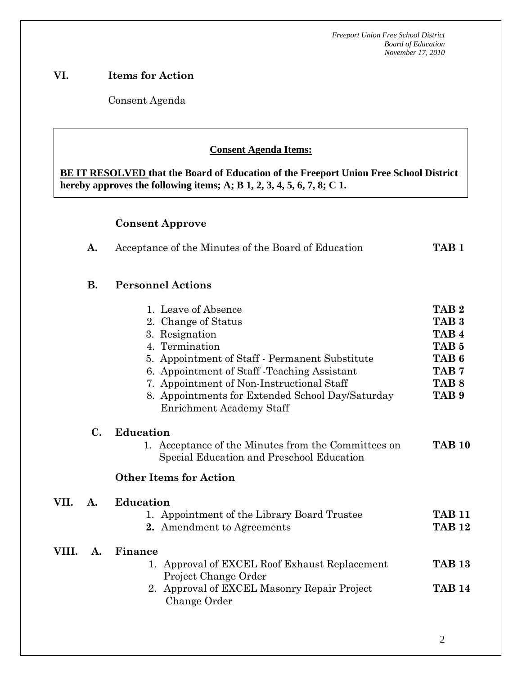## **VI. Items for Action**

Consent Agenda

 **AA. Consent - Approve** 

### **Consent Agenda Items:**

 *Acceptance of the Minutes*  $\mathbf{A}$ **BE IT RESOLVED that the Board of Education of the Freeport Union Free School District hereby approves the following items; A; B 1, 2, 3, 4, 5, 6, 7, 8; C 1.** 

## **Consent Approve**

|  | Acceptance of the Minutes of the Board of Education | TAB 1 |
|--|-----------------------------------------------------|-------|
|--|-----------------------------------------------------|-------|

# **B. Personnel Actions**

VII.

VIII.

|       |                | 1. Leave of Absence<br>2. Change of Status<br>3. Resignation<br>4. Termination<br>5. Appointment of Staff - Permanent Substitute<br>6. Appointment of Staff - Teaching Assistant<br>7. Appointment of Non-Instructional Staff<br>8. Appointments for Extended School Day/Saturday<br><b>Enrichment Academy Staff</b> | TAB <sub>2</sub><br>TAB <sub>3</sub><br>TAB <sub>4</sub><br>TAB <sub>5</sub><br>TAB <sub>6</sub><br>TAB <sub>7</sub><br>TAB <sub>8</sub><br>TAB <sub>9</sub> |
|-------|----------------|----------------------------------------------------------------------------------------------------------------------------------------------------------------------------------------------------------------------------------------------------------------------------------------------------------------------|--------------------------------------------------------------------------------------------------------------------------------------------------------------|
|       | $\mathbf{C}$ . | <b>Education</b><br>1. Acceptance of the Minutes from the Committees on<br>Special Education and Preschool Education<br><b>Other Items for Action</b>                                                                                                                                                                | <b>TAB 10</b>                                                                                                                                                |
| VII.  | A.             | <b>Education</b><br>1. Appointment of the Library Board Trustee<br>2. Amendment to Agreements                                                                                                                                                                                                                        | <b>TAB 11</b><br><b>TAB 12</b>                                                                                                                               |
| VIII. | A.             | Finance<br>1. Approval of EXCEL Roof Exhaust Replacement<br>Project Change Order<br>2. Approval of EXCEL Masonry Repair Project<br>Change Order                                                                                                                                                                      | <b>TAB 13</b><br><b>TAB 14</b>                                                                                                                               |